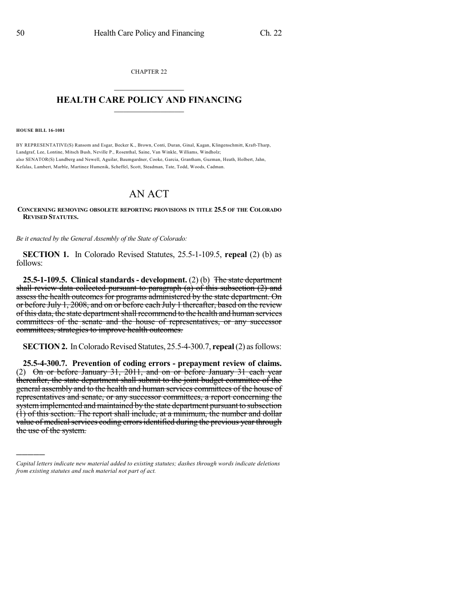CHAPTER 22  $\mathcal{L}_\text{max}$  . The set of the set of the set of the set of the set of the set of the set of the set of the set of the set of the set of the set of the set of the set of the set of the set of the set of the set of the set

## **HEALTH CARE POLICY AND FINANCING**  $\_$   $\_$   $\_$   $\_$   $\_$   $\_$   $\_$   $\_$

**HOUSE BILL 16-1081**

)))))

BY REPRESENTATIVE(S) Ransom and Esgar, Becker K., Brown, Conti, Duran, Ginal, Kagan, Klingenschmitt, Kraft-Tharp, Landgraf, Lee, Lontine, Mitsch Bush, Neville P., Rosenthal, Saine, Van Winkle, Williams, Windholz; also SENATOR(S) Lundberg and Newell, Aguilar, Baumgardner, Cooke, Garcia, Grantham, Guzman, Heath, Holbert, Jahn, Kefalas, Lambert, Marble, Martinez Humenik, Scheffel, Scott, Steadman, Tate, Todd, Woods, Cadman.

## AN ACT

## **CONCERNING REMOVING OBSOLETE REPORTING PROVISIONS IN TITLE 25.5 OF THE COLORADO REVISED STATUTES.**

*Be it enacted by the General Assembly of the State of Colorado:*

**SECTION 1.** In Colorado Revised Statutes, 25.5-1-109.5, **repeal** (2) (b) as follows:

**25.5-1-109.5. Clinical standards - development.** (2) (b) The state department shall review data collected pursuant to paragraph (a) of this subsection (2) and assess the health outcomes for programs administered by the state department. On or before July 1, 2008, and on or before each July 1 thereafter, based on the review of this data, the state department shall recommend to the health and human services committees of the senate and the house of representatives, or any successor committees, strategies to improve health outcomes.

**SECTION 2.** In Colorado Revised Statutes, 25.5-4-300.7, **repeal** (2) as follows:

**25.5-4-300.7. Prevention of coding errors - prepayment review of claims.** (2) On or before January 31, 2011, and on or before January 31 each year thereafter, the state department shall submit to the joint budget committee of the general assembly and to the health and human services committees of the house of representatives and senate, or any successor committees, a report concerning the system implemented and maintained by the state department pursuant to subsection (1) of this section. The report shall include, at a minimum, the number and dollar value of medical services coding errors identified during the previous year through the use of the system.

*Capital letters indicate new material added to existing statutes; dashes through words indicate deletions from existing statutes and such material not part of act.*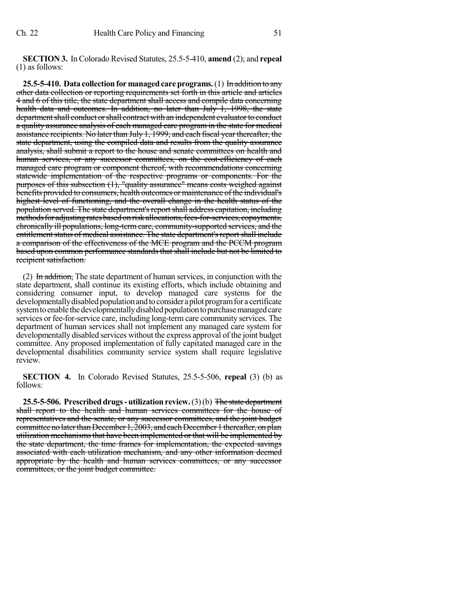**SECTION 3.** InColorado Revised Statutes, 25.5-5-410, **amend** (2); and **repeal** (1) as follows:

**25.5-5-410. Data collectionformanagedcareprograms.**(1) In addition to any other data collection or reporting requirements set forth in this article and articles 4 and 6 of this title, the state department shall access and compile data concerning health data and outcomes. In addition, no later than July 1, 1998, the state department shall conduct or shall contract with an independent evaluator to conduct a quality assurance analysis of each managed care program in the state for medical assistance recipients. No later than July 1, 1999, and each fiscal year thereafter, the state department, using the compiled data and results from the quality assurance analysis, shall submit a report to the house and senate committees on health and human services, or any successor committees, on the cost-efficiency of each managed care program or component thereof, with recommendations concerning statewide implementation of the respective programs or components. For the purposes of this subsection (1), "quality assurance" means costs weighed against benefits provided to consumers, health outcomes or maintenance of the individual's highest level of functioning, and the overall change in the health status of the population served. The state department's report shall address capitation, including methods for adjusting rates based on risk allocations, fees-for-services, copayments, chronically ill populations, long-term care, community-supported services, and the entitlement status of medical assistance. The state department's report shall include a comparison of the effectiveness of the MCE program and the PCCM program based upon common performance standards that shall include but not be limited to recipient satisfaction.

(2) In addition, The state department of human services, in conjunction with the state department, shall continue its existing efforts, which include obtaining and considering consumer input, to develop managed care systems for the developmentally disabled population and to consider a pilot program for a certificate system to enable the developmentally disabled population to purchase managed care services or fee-for-service care, including long-term care community services. The department of human services shall not implement any managed care system for developmentally disabled services without the express approval of the joint budget committee. Any proposed implementation of fully capitated managed care in the developmental disabilities community service system shall require legislative review.

**SECTION 4.** In Colorado Revised Statutes, 25.5-5-506, **repeal** (3) (b) as follows:

**25.5-5-506. Prescribed drugs- utilization review.**(3)(b) The state department shall report to the health and human services committees for the house of representatives and the senate, or any successor committees, and the joint budget committee no later than December 1, 2003, and each December 1 thereafter, on plan utilization mechanismsthat have been implemented or that will be implemented by the state department, the time frames for implementation, the expected savings associated with each utilization mechanism, and any other information deemed appropriate by the health and human services committees, or any successor committees, or the joint budget committee.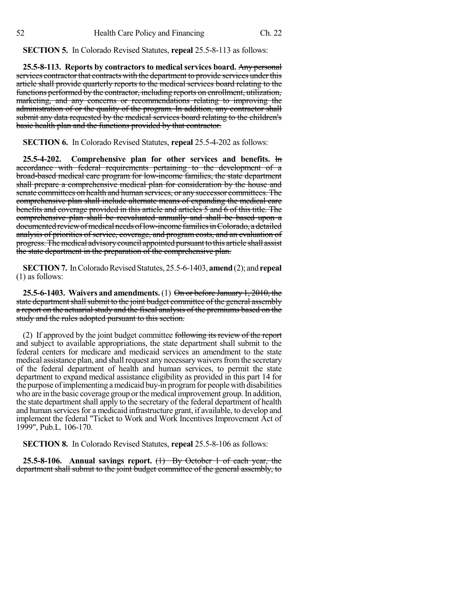**SECTION 5.** In Colorado Revised Statutes, **repeal** 25.5-8-113 as follows:

**25.5-8-113. Reports by contractors to medical services board.** Any personal services contractor that contracts with the department to provide services under this article shall provide quarterly reports to the medical services board relating to the functions performed by the contractor, including reports on enrollment, utilization, marketing, and any concerns or recommendations relating to improving the administration of or the quality of the program. In addition, any contractor shall submit any data requested by the medical services board relating to the children's basic health plan and the functions provided by that contractor.

**SECTION 6.** In Colorado Revised Statutes, **repeal** 25.5-4-202 as follows:

**25.5-4-202. Comprehensive plan for other services and benefits.** In accordance with federal requirements pertaining to the development of a broad-based medical care program for low-income families, the state department shall prepare a comprehensive medical plan for consideration by the house and senate committees on health and human services, or any successor committees. The comprehensive plan shall include alternate means of expanding the medical care benefits and coverage provided in this article and articles 5 and 6 of this title. The comprehensive plan shall be reevaluated annually and shall be based upon a documented review of medical needs of low-income families in Colorado, a detailed analysis of priorities of service, coverage, and program costs, and an evaluation of progress. The medical advisory council appointed pursuant to this article shall assist the state department in the preparation of the comprehensive plan.

**SECTION 7.** In Colorado Revised Statutes, 25.5-6-1403, **amend** (2); and **repeal** (1) as follows:

**25.5-6-1403. Waivers and amendments.** (1) On or before January 1, 2010, the state department shall submit to the joint budget committee of the general assembly a report on the actuarial study and the fiscal analysis of the premiums based on the study and the rules adopted pursuant to this section.

(2) If approved by the joint budget committee following its review of the report and subject to available appropriations, the state department shall submit to the federal centers for medicare and medicaid services an amendment to the state medical assistance plan, and shall request any necessary waivers from the secretary of the federal department of health and human services, to permit the state department to expand medical assistance eligibility as provided in this part 14 for the purpose of implementing a medicaid buy-in program for people with disabilities who are in the basic coverage group or the medical improvement group. In addition, the state department shall apply to the secretary of the federal department of health and human services for a medicaid infrastructure grant, if available, to develop and implement the federal "Ticket to Work and Work Incentives Improvement Act of 1999", Pub.L. 106-170.

**SECTION 8.** In Colorado Revised Statutes, **repeal** 25.5-8-106 as follows:

**25.5-8-106. Annual savings report.** (1) By October 1 of each year, the department shall submit to the joint budget committee of the general assembly, to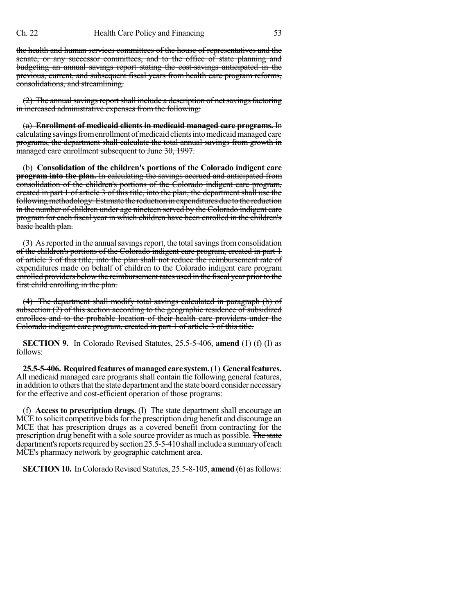the health and human services committees of the house of representatives and the senate, or any successor committees, and to the office of state planning and budgeting an annual savings report stating the cost-savings anticipated in the previous, current, and subsequent fiscal years from health care program reforms, consolidations, and streamlining.

 $(2)$  The annual savings report shall include a description of net savings factoring in increased administrative expenses from the following:

(a) **Enrollment of medicaid clients in medicaid managed care programs.** In calculating savings from enrollment of medicaid clients into medicaid managed care programs, the department shall calculate the total annual savings from growth in managed care enrollment subsequent to June 30, 1997.

(b) **Consolidation of the children's portions of the Colorado indigent care program into the plan.** In calculating the savings accrued and anticipated from consolidation of the children's portions of the Colorado indigent care program, created in part 1 of article 3 of this title, into the plan, the department shall use the following methodology: Estimate the reduction in expenditures due to the reduction in the number of children under age nineteen served by the Colorado indigent care program for each fiscal year in which children have been enrolled in the children's basic health plan.

(3) As reported in the annual savings report, the total savings from consolidation of the children's portions of the Colorado indigent care program, created in part 1 of article 3 of this title, into the plan shall not reduce the reimbursement rate of expenditures made on behalf of children to the Colorado indigent care program enrolled providers below the reimbursement rates used in the fiscal year prior to the first child enrolling in the plan.

(4) The department shall modify total savings calculated in paragraph (b) of subsection (2) of this section according to the geographic residence of subsidized enrollees and to the probable location of their health care providers under the Colorado indigent care program, created in part 1 of article 3 of this title.

**SECTION 9.** In Colorado Revised Statutes, 25.5-5-406, **amend** (1) (f) (I) as follows:

**25.5-5-406. Requiredfeaturesofmanagedcare system.**(1) **Generalfeatures.** All medicaid managed care programs shall contain the following general features, in addition to others that the state department and the state board consider necessary for the effective and cost-efficient operation of those programs:

(f) **Access to prescription drugs.** (I) The state department shall encourage an MCE to solicit competitive bids for the prescription drug benefit and discourage an MCE that has prescription drugs as a covered benefit from contracting for the prescription drug benefit with a sole source provider as much as possible. The state department's reports required by section  $25.5-5-410$  shall include a summary of each MCE's pharmacy network by geographic catchment area.

**SECTION 10.** In Colorado Revised Statutes, 25.5-8-105, **amend** (6) as follows: